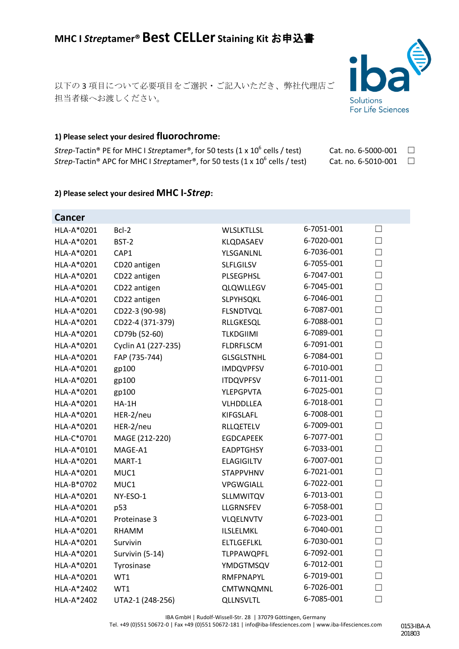# **MHC I** *Strep***tamer®Best CELLer Staining Kit** お申込書

以下の 3 項目について必要項目をご選択・ご記入いただき、弊社代理店ご 担当者様へお渡しください。

# **1) Please select your desired fluorochrome:**

*Strep*-Tactin<sup>®</sup> PE for MHC I *Streptamer*<sup>®</sup>, for 50 tests (1 x 10<sup>6</sup> cells / test) *Strep*-Tactin<sup>®</sup> APC for MHC I *Streptamer*<sup>®</sup>, for 50 tests (1 x 10<sup>6</sup> cells / test)

## **2) Please select your desired MHC I-***Strep***:**

| <b>Cancer</b> |                     |                   |            |        |
|---------------|---------------------|-------------------|------------|--------|
| HLA-A*0201    | Bcl-2               | <b>WLSLKTLLSL</b> | 6-7051-001 | $\Box$ |
| HLA-A*0201    | BST-2               | KLQDASAEV         | 6-7020-001 | $\Box$ |
| HLA-A*0201    | CAP1                | YLSGANLNL         | 6-7036-001 | $\Box$ |
| HLA-A*0201    | CD20 antigen        | <b>SLFLGILSV</b>  | 6-7055-001 | $\Box$ |
| HLA-A*0201    | CD22 antigen        | <b>PLSEGPHSL</b>  | 6-7047-001 | $\Box$ |
| HLA-A*0201    | CD22 antigen        | <b>QLQWLLEGV</b>  | 6-7045-001 | $\Box$ |
| HLA-A*0201    | CD22 antigen        | SLPYHSQKL         | 6-7046-001 | П      |
| HLA-A*0201    | CD22-3 (90-98)      | <b>FLSNDTVQL</b>  | 6-7087-001 | $\Box$ |
| HLA-A*0201    | CD22-4 (371-379)    | RLLGKESQL         | 6-7088-001 | $\Box$ |
| HLA-A*0201    | CD79b (52-60)       | <b>TLKDGIIMI</b>  | 6-7089-001 | $\Box$ |
| HLA-A*0201    | Cyclin A1 (227-235) | <b>FLDRFLSCM</b>  | 6-7091-001 | $\Box$ |
| HLA-A*0201    | FAP (735-744)       | <b>GLSGLSTNHL</b> | 6-7084-001 | $\Box$ |
| HLA-A*0201    | gp100               | <b>IMDQVPFSV</b>  | 6-7010-001 | $\Box$ |
| HLA-A*0201    | gp100               | <b>ITDQVPFSV</b>  | 6-7011-001 | $\Box$ |
| HLA-A*0201    | gp100               | <b>YLEPGPVTA</b>  | 6-7025-001 | $\Box$ |
| HLA-A*0201    | $HA-1H$             | <b>VLHDDLLEA</b>  | 6-7018-001 | $\Box$ |
| HLA-A*0201    | HER-2/neu           | <b>KIFGSLAFL</b>  | 6-7008-001 | $\Box$ |
| HLA-A*0201    | HER-2/neu           | <b>RLLQETELV</b>  | 6-7009-001 | П      |
| HLA-C*0701    | MAGE (212-220)      | <b>EGDCAPEEK</b>  | 6-7077-001 | $\Box$ |
| HLA-A*0101    | MAGE-A1             | <b>EADPTGHSY</b>  | 6-7033-001 | $\Box$ |
| HLA-A*0201    | MART-1              | <b>ELAGIGILTV</b> | 6-7007-001 | П      |
| HLA-A*0201    | MUC1                | <b>STAPPVHNV</b>  | 6-7021-001 | $\Box$ |
| HLA-B*0702    | MUC1                | VPGWGIALL         | 6-7022-001 | $\Box$ |
| HLA-A*0201    | NY-ESO-1            | <b>SLLMWITQV</b>  | 6-7013-001 | $\Box$ |
| HLA-A*0201    | p53                 | <b>LLGRNSFEV</b>  | 6-7058-001 | $\Box$ |
| HLA-A*0201    | Proteinase 3        | <b>VLQELNVTV</b>  | 6-7023-001 | $\Box$ |
| HLA-A*0201    | <b>RHAMM</b>        | ILSLELMKL         | 6-7040-001 | $\Box$ |
| HLA-A*0201    | Survivin            | <b>ELTLGEFLKL</b> | 6-7030-001 | $\Box$ |
| HLA-A*0201    | Survivin (5-14)     | <b>TLPPAWQPFL</b> | 6-7092-001 | $\Box$ |
| HLA-A*0201    | Tyrosinase          | <b>YMDGTMSQV</b>  | 6-7012-001 | П      |
| HLA-A*0201    | WT1                 | RMFPNAPYL         | 6-7019-001 | $\Box$ |
| HLA-A*2402    | WT1                 | CMTWNQMNL         | 6-7026-001 | $\Box$ |
| HLA-A*2402    | UTA2-1 (248-256)    | <b>QLLNSVLTL</b>  | 6-7085-001 | $\Box$ |

IBA GmbH | Rudolf-Wissell-Str. 28 | 37079 Göttingen, Germany

Tel. +49 (0)551 50672-0 | Fax +49 (0)551 50672-181 | info@iba-lifesciences.com | www.iba-lifesciences.com



Cat. no. 6-5000-001  $\Box$ Cat. no. 6-5010-001  $\Box$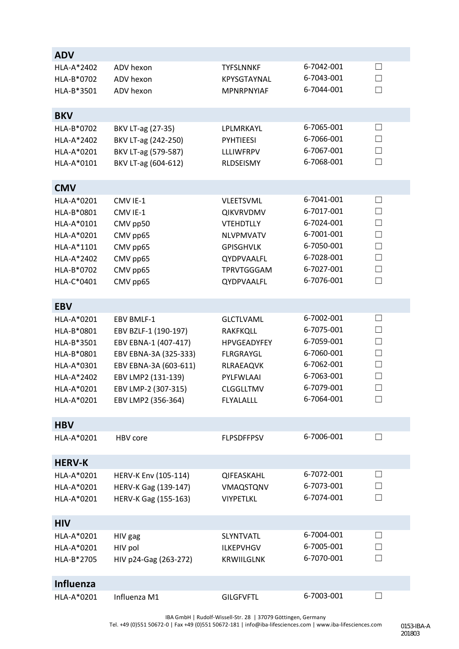| <b>ADV</b>       |                       |                    |            |                   |
|------------------|-----------------------|--------------------|------------|-------------------|
| HLA-A*2402       | ADV hexon             | <b>TYFSLNNKF</b>   | 6-7042-001 | $\Box$            |
| HLA-B*0702       | ADV hexon             | KPYSGTAYNAL        | 6-7043-001 | $\Box$            |
| HLA-B*3501       | ADV hexon             | MPNRPNYIAF         | 6-7044-001 | П                 |
|                  |                       |                    |            |                   |
| <b>BKV</b>       |                       |                    |            |                   |
| HLA-B*0702       | BKV LT-ag (27-35)     | LPLMRKAYL          | 6-7065-001 | $\Box$            |
| HLA-A*2402       | BKV LT-ag (242-250)   | <b>PYHTIEESI</b>   | 6-7066-001 | $\Box$            |
| HLA-A*0201       | BKV LT-ag (579-587)   | <b>LLLIWFRPV</b>   | 6-7067-001 | $\Box$            |
| HLA-A*0101       | BKV LT-ag (604-612)   | RLDSEISMY          | 6-7068-001 | $\Box$            |
|                  |                       |                    |            |                   |
| <b>CMV</b>       |                       |                    |            |                   |
| HLA-A*0201       | CMV IE-1              | <b>VLEETSVML</b>   | 6-7041-001 | $\Box$            |
| HLA-B*0801       | CMV IE-1              | <b>QIKVRVDMV</b>   | 6-7017-001 | $\Box$            |
| HLA-A*0101       | CMV pp50              | <b>VTEHDTLLY</b>   | 6-7024-001 | $\Box$            |
| HLA-A*0201       | CMV pp65              | <b>NLVPMVATV</b>   | 6-7001-001 | $\Box$            |
| HLA-A*1101       | CMV pp65              | <b>GPISGHVLK</b>   | 6-7050-001 | $\Box$            |
| HLA-A*2402       | CMV pp65              | QYDPVAALFL         | 6-7028-001 | $\Box$            |
| HLA-B*0702       | CMV pp65              | <b>TPRVTGGGAM</b>  | 6-7027-001 | $\Box$            |
| HLA-C*0401       | CMV pp65              | QYDPVAALFL         | 6-7076-001 | $\vert \ \ \vert$ |
|                  |                       |                    |            |                   |
| <b>EBV</b>       |                       |                    |            |                   |
| HLA-A*0201       | EBV BMLF-1            | <b>GLCTLVAML</b>   | 6-7002-001 | $\Box$            |
| HLA-B*0801       | EBV BZLF-1 (190-197)  | <b>RAKFKQLL</b>    | 6-7075-001 | П                 |
| HLA-B*3501       | EBV EBNA-1 (407-417)  | <b>HPVGEADYFEY</b> | 6-7059-001 | $\Box$            |
| HLA-B*0801       | EBV EBNA-3A (325-333) | <b>FLRGRAYGL</b>   | 6-7060-001 | $\Box$            |
| HLA-A*0301       | EBV EBNA-3A (603-611) | <b>RLRAEAQVK</b>   | 6-7062-001 | $\Box$            |
| HLA-A*2402       | EBV LMP2 (131-139)    | PYLFWLAAI          | 6-7063-001 | $\Box$            |
| HLA-A*0201       | EBV LMP-2 (307-315)   | <b>CLGGLLTMV</b>   | 6-7079-001 | $\Box$            |
| HLA-A*0201       | EBV LMP2 (356-364)    | <b>FLYALALLL</b>   | 6-7064-001 | $\mathsf{L}$      |
|                  |                       |                    |            |                   |
| <b>HBV</b>       |                       |                    |            |                   |
| HLA-A*0201       | HBV core              | <b>FLPSDFFPSV</b>  | 6-7006-001 | $\mathsf{L}$      |
|                  |                       |                    |            |                   |
| <b>HERV-K</b>    |                       |                    |            |                   |
| HLA-A*0201       | HERV-K Env (105-114)  | QIFEASKAHL         | 6-7072-001 | $\perp$           |
| HLA-A*0201       | HERV-K Gag (139-147)  | VMAQSTQNV          | 6-7073-001 | $\Box$            |
| HLA-A*0201       | HERV-K Gag (155-163)  | <b>VIYPETLKL</b>   | 6-7074-001 | $\vert \ \ \vert$ |
| <b>HIV</b>       |                       |                    |            |                   |
| HLA-A*0201       |                       | <b>SLYNTVATL</b>   | 6-7004-001 | ப                 |
| HLA-A*0201       | HIV gag               | <b>ILKEPVHGV</b>   | 6-7005-001 | $\Box$            |
|                  | HIV pol               |                    | 6-7070-001 | $\vert \ \ \vert$ |
| HLA-B*2705       | HIV p24-Gag (263-272) | <b>KRWIILGLNK</b>  |            |                   |
| <b>Influenza</b> |                       |                    |            |                   |
| HLA-A*0201       | Influenza M1          | <b>GILGFVFTL</b>   | 6-7003-001 | $\vert \ \ \vert$ |
|                  |                       |                    |            |                   |

IBA GmbH | Rudolf-Wissell-Str. 28 | 37079 Göttingen, Germany

Tel. +49 (0)551 50672-0 | Fax +49 (0)551 50672-181 | info@iba-lifesciences.com | www.iba-lifesciences.com